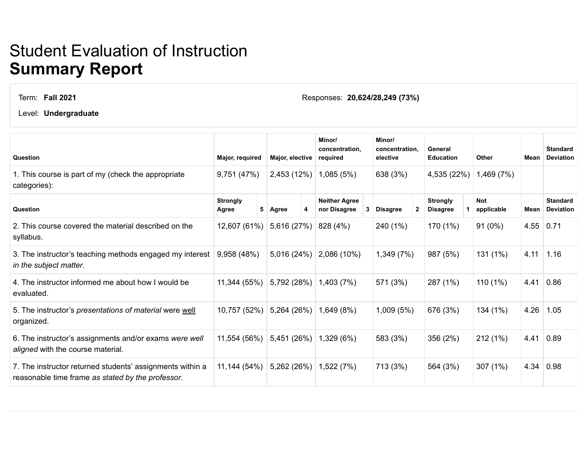## Student Evaluation of Instruction **Summary Report**

Term: **Fall 2021**

Responses: **20,624/28,249 (73%)**

Level: **Undergraduate**

| Question                                                                                                       | Major, required          |   | <b>Major, elective</b> |   | Minor/<br>concentration,<br>required |   | Minor/<br>concentration.<br>elective |  | General<br><b>Education</b>        |  | Other                    | Mean | <b>Standard</b><br><b>Deviation</b> |
|----------------------------------------------------------------------------------------------------------------|--------------------------|---|------------------------|---|--------------------------------------|---|--------------------------------------|--|------------------------------------|--|--------------------------|------|-------------------------------------|
| 1. This course is part of my (check the appropriate<br>categories):                                            | 9,751 (47%)              |   | 2,453 (12%)            |   | 1,085(5%)                            |   | 638 (3%)                             |  | 4,535 (22%)                        |  | 1,469 (7%)               |      |                                     |
| Question                                                                                                       | <b>Strongly</b><br>Agree | 5 | Agree                  | 4 | <b>Neither Agree</b><br>nor Disagree | 3 | <b>Disagree</b>                      |  | <b>Strongly</b><br><b>Disagree</b> |  | <b>Not</b><br>applicable | Mean | <b>Standard</b><br><b>Deviation</b> |
| 2. This course covered the material described on the<br>syllabus.                                              | 12,607 (61%)             |   | 5,616 (27%)            |   | 828 (4%)                             |   | 240 (1%)                             |  | 170 (1%)                           |  | $91(0\%)$                |      | 4.55   0.71                         |
| 3. The instructor's teaching methods engaged my interest<br>in the subject matter.                             | 9,958 (48%)              |   | 5,016 (24%)            |   | 2,086 (10%)                          |   | 1,349 (7%)                           |  | 987 (5%)                           |  | 131 (1%)                 | 4.11 | 1.16                                |
| 4. The instructor informed me about how I would be<br>evaluated.                                               | 11,344 (55%)             |   | 5,792 (28%)            |   | 1,403 (7%)                           |   | 571 (3%)                             |  | 287 (1%)                           |  | 110 (1%)                 | 4.41 | 0.86                                |
| 5. The instructor's presentations of material were well<br>organized.                                          | 10,757 (52%)             |   | 5,264 (26%)            |   | 1,649 (8%)                           |   | 1,009(5%)                            |  | 676 (3%)                           |  | 134 (1%)                 | 4.26 | 1.05                                |
| 6. The instructor's assignments and/or exams were well<br>aligned with the course material.                    | 11,554 (56%)             |   | 5,451 (26%)            |   | 1,329 (6%)                           |   | 583 (3%)                             |  | 356 (2%)                           |  | 212(1%)                  | 4.41 | 0.89                                |
| 7. The instructor returned students' assignments within a<br>reasonable time frame as stated by the professor. | 11,144 (54%)             |   | 5,262 (26%)            |   | 1,522 (7%)                           |   | 713 (3%)                             |  | 564 (3%)                           |  | 307 (1%)                 | 4.34 | 0.98                                |